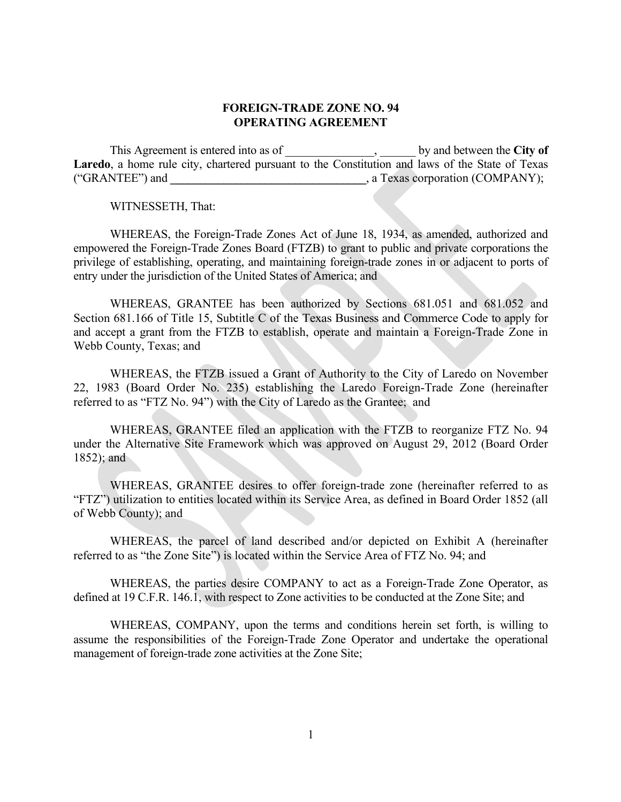#### **FOREIGN-TRADE ZONE NO. 94 OPERATING AGREEMENT**

This Agreement is entered into as of  $\qquad \qquad$ , by and between the **City of Laredo**, a home rule city, chartered pursuant to the Constitution and laws of the State of Texas ("GRANTEE") and **\_\_\_\_\_\_\_\_\_\_\_\_\_\_\_\_\_\_\_\_\_\_\_\_\_\_\_\_\_\_\_\_\_**, a Texas corporation (COMPANY);

WITNESSETH, That:

WHEREAS, the Foreign-Trade Zones Act of June 18, 1934, as amended, authorized and empowered the Foreign-Trade Zones Board (FTZB) to grant to public and private corporations the privilege of establishing, operating, and maintaining foreign-trade zones in or adjacent to ports of entry under the jurisdiction of the United States of America; and

WHEREAS, GRANTEE has been authorized by Sections 681.051 and 681.052 and Section 681.166 of Title 15, Subtitle C of the Texas Business and Commerce Code to apply for and accept a grant from the FTZB to establish, operate and maintain a Foreign-Trade Zone in Webb County, Texas; and

WHEREAS, the FTZB issued a Grant of Authority to the City of Laredo on November 22, 1983 (Board Order No. 235) establishing the Laredo Foreign-Trade Zone (hereinafter referred to as "FTZ No. 94") with the City of Laredo as the Grantee; and

WHEREAS, GRANTEE filed an application with the FTZB to reorganize FTZ No. 94 under the Alternative Site Framework which was approved on August 29, 2012 (Board Order 1852); and

WHEREAS, GRANTEE desires to offer foreign-trade zone (hereinafter referred to as "FTZ") utilization to entities located within its Service Area, as defined in Board Order 1852 (all of Webb County); and

WHEREAS, the parcel of land described and/or depicted on Exhibit A (hereinafter referred to as "the Zone Site") is located within the Service Area of FTZ No. 94; and

WHEREAS, the parties desire COMPANY to act as a Foreign-Trade Zone Operator, as defined at 19 C.F.R. 146.1, with respect to Zone activities to be conducted at the Zone Site; and

WHEREAS, COMPANY, upon the terms and conditions herein set forth, is willing to assume the responsibilities of the Foreign-Trade Zone Operator and undertake the operational management of foreign-trade zone activities at the Zone Site;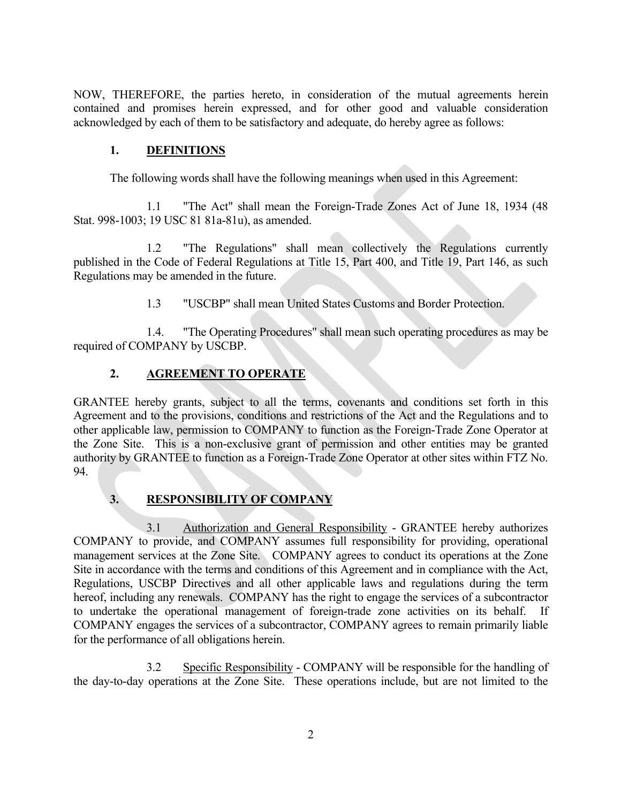NOW, THEREFORE, the parties hereto, in consideration of the mutual agreements herein contained and promises herein expressed, and for other good and valuable consideration acknowledged by each of them to be satisfactory and adequate, do hereby agree as follows:

# **1. DEFINITIONS**

The following words shall have the following meanings when used in this Agreement:

1.1 "The Act" shall mean the Foreign-Trade Zones Act of June 18, 1934 (48 Stat. 998-1003; 19 USC 81 81a-81u), as amended.

1.2 "The Regulations" shall mean collectively the Regulations currently published in the Code of Federal Regulations at Title 15, Part 400, and Title 19, Part 146, as such Regulations may be amended in the future.

1.3 "USCBP" shall mean United States Customs and Border Protection.

1.4. "The Operating Procedures" shall mean such operating procedures as may be required of COMPANY by USCBP.

# **2. AGREEMENT TO OPERATE**

GRANTEE hereby grants, subject to all the terms, covenants and conditions set forth in this Agreement and to the provisions, conditions and restrictions of the Act and the Regulations and to other applicable law, permission to COMPANY to function as the Foreign-Trade Zone Operator at the Zone Site. This is a non-exclusive grant of permission and other entities may be granted authority by GRANTEE to function as a Foreign-Trade Zone Operator at other sites within FTZ No. 94.

# **3. RESPONSIBILITY OF COMPANY**

3.1 Authorization and General Responsibility - GRANTEE hereby authorizes COMPANY to provide, and COMPANY assumes full responsibility for providing, operational management services at the Zone Site. COMPANY agrees to conduct its operations at the Zone Site in accordance with the terms and conditions of this Agreement and in compliance with the Act, Regulations, USCBP Directives and all other applicable laws and regulations during the term hereof, including any renewals. COMPANY has the right to engage the services of a subcontractor to undertake the operational management of foreign-trade zone activities on its behalf. If COMPANY engages the services of a subcontractor, COMPANY agrees to remain primarily liable for the performance of all obligations herein.

3.2 Specific Responsibility - COMPANY will be responsible for the handling of the day-to-day operations at the Zone Site. These operations include, but are not limited to the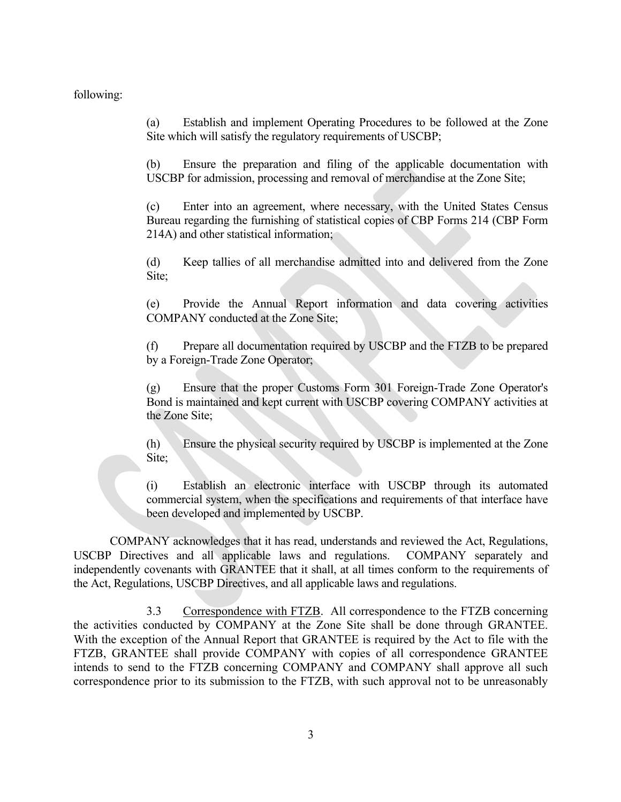#### following:

(a) Establish and implement Operating Procedures to be followed at the Zone Site which will satisfy the regulatory requirements of USCBP;

(b) Ensure the preparation and filing of the applicable documentation with USCBP for admission, processing and removal of merchandise at the Zone Site;

(c) Enter into an agreement, where necessary, with the United States Census Bureau regarding the furnishing of statistical copies of CBP Forms 214 (CBP Form 214A) and other statistical information;

(d) Keep tallies of all merchandise admitted into and delivered from the Zone Site;

(e) Provide the Annual Report information and data covering activities COMPANY conducted at the Zone Site;

(f) Prepare all documentation required by USCBP and the FTZB to be prepared by a Foreign-Trade Zone Operator;

(g) Ensure that the proper Customs Form 301 Foreign-Trade Zone Operator's Bond is maintained and kept current with USCBP covering COMPANY activities at the Zone Site;

(h) Ensure the physical security required by USCBP is implemented at the Zone Site;

(i) Establish an electronic interface with USCBP through its automated commercial system, when the specifications and requirements of that interface have been developed and implemented by USCBP.

COMPANY acknowledges that it has read, understands and reviewed the Act, Regulations, USCBP Directives and all applicable laws and regulations. COMPANY separately and independently covenants with GRANTEE that it shall, at all times conform to the requirements of the Act, Regulations, USCBP Directives, and all applicable laws and regulations.

3.3 Correspondence with FTZB. All correspondence to the FTZB concerning the activities conducted by COMPANY at the Zone Site shall be done through GRANTEE. With the exception of the Annual Report that GRANTEE is required by the Act to file with the FTZB, GRANTEE shall provide COMPANY with copies of all correspondence GRANTEE intends to send to the FTZB concerning COMPANY and COMPANY shall approve all such correspondence prior to its submission to the FTZB, with such approval not to be unreasonably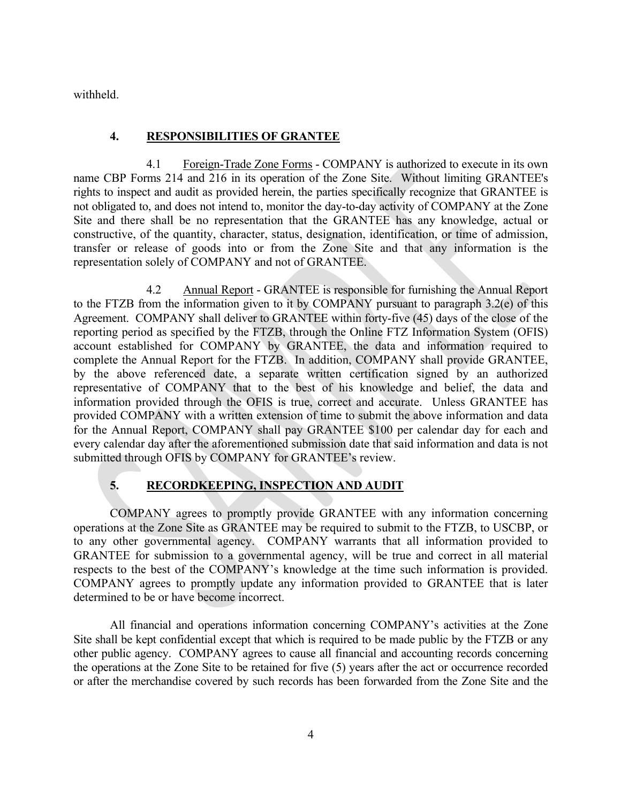withheld.

## **4. RESPONSIBILITIES OF GRANTEE**

4.1 Foreign-Trade Zone Forms - COMPANY is authorized to execute in its own name CBP Forms 214 and 216 in its operation of the Zone Site. Without limiting GRANTEE's rights to inspect and audit as provided herein, the parties specifically recognize that GRANTEE is not obligated to, and does not intend to, monitor the day-to-day activity of COMPANY at the Zone Site and there shall be no representation that the GRANTEE has any knowledge, actual or constructive, of the quantity, character, status, designation, identification, or time of admission, transfer or release of goods into or from the Zone Site and that any information is the representation solely of COMPANY and not of GRANTEE.

4.2 Annual Report - GRANTEE is responsible for furnishing the Annual Report to the FTZB from the information given to it by COMPANY pursuant to paragraph 3.2(e) of this Agreement. COMPANY shall deliver to GRANTEE within forty-five (45) days of the close of the reporting period as specified by the FTZB, through the Online FTZ Information System (OFIS) account established for COMPANY by GRANTEE, the data and information required to complete the Annual Report for the FTZB. In addition, COMPANY shall provide GRANTEE, by the above referenced date, a separate written certification signed by an authorized representative of COMPANY that to the best of his knowledge and belief, the data and information provided through the OFIS is true, correct and accurate. Unless GRANTEE has provided COMPANY with a written extension of time to submit the above information and data for the Annual Report, COMPANY shall pay GRANTEE \$100 per calendar day for each and every calendar day after the aforementioned submission date that said information and data is not submitted through OFIS by COMPANY for GRANTEE's review.

## **5. RECORDKEEPING, INSPECTION AND AUDIT**

COMPANY agrees to promptly provide GRANTEE with any information concerning operations at the Zone Site as GRANTEE may be required to submit to the FTZB, to USCBP, or to any other governmental agency. COMPANY warrants that all information provided to GRANTEE for submission to a governmental agency, will be true and correct in all material respects to the best of the COMPANY's knowledge at the time such information is provided. COMPANY agrees to promptly update any information provided to GRANTEE that is later determined to be or have become incorrect.

All financial and operations information concerning COMPANY's activities at the Zone Site shall be kept confidential except that which is required to be made public by the FTZB or any other public agency. COMPANY agrees to cause all financial and accounting records concerning the operations at the Zone Site to be retained for five (5) years after the act or occurrence recorded or after the merchandise covered by such records has been forwarded from the Zone Site and the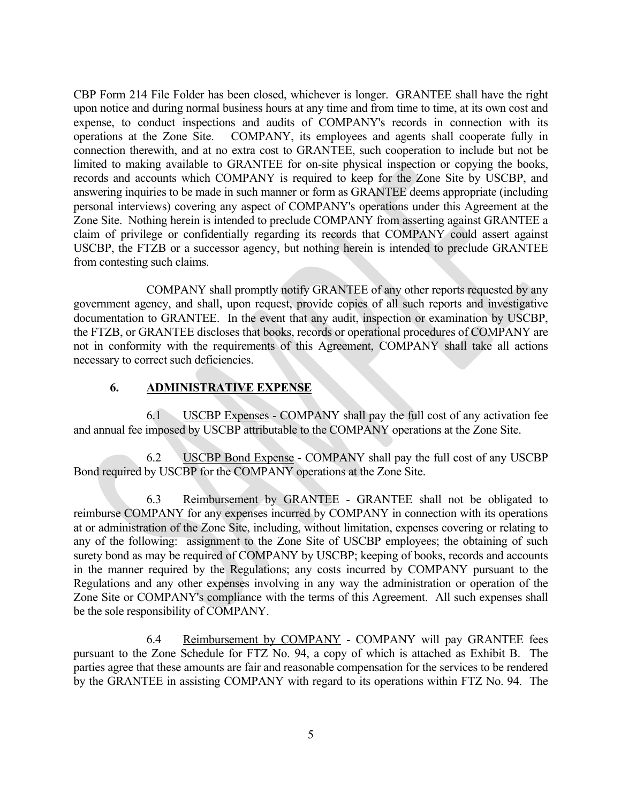CBP Form 214 File Folder has been closed, whichever is longer. GRANTEE shall have the right upon notice and during normal business hours at any time and from time to time, at its own cost and expense, to conduct inspections and audits of COMPANY's records in connection with its operations at the Zone Site. COMPANY, its employees and agents shall cooperate fully in connection therewith, and at no extra cost to GRANTEE, such cooperation to include but not be limited to making available to GRANTEE for on-site physical inspection or copying the books, records and accounts which COMPANY is required to keep for the Zone Site by USCBP, and answering inquiries to be made in such manner or form as GRANTEE deems appropriate (including personal interviews) covering any aspect of COMPANY's operations under this Agreement at the Zone Site. Nothing herein is intended to preclude COMPANY from asserting against GRANTEE a claim of privilege or confidentially regarding its records that COMPANY could assert against USCBP, the FTZB or a successor agency, but nothing herein is intended to preclude GRANTEE from contesting such claims.

COMPANY shall promptly notify GRANTEE of any other reports requested by any government agency, and shall, upon request, provide copies of all such reports and investigative documentation to GRANTEE. In the event that any audit, inspection or examination by USCBP, the FTZB, or GRANTEE discloses that books, records or operational procedures of COMPANY are not in conformity with the requirements of this Agreement, COMPANY shall take all actions necessary to correct such deficiencies.

## **6. ADMINISTRATIVE EXPENSE**

6.1 USCBP Expenses - COMPANY shall pay the full cost of any activation fee and annual fee imposed by USCBP attributable to the COMPANY operations at the Zone Site.

6.2 USCBP Bond Expense - COMPANY shall pay the full cost of any USCBP Bond required by USCBP for the COMPANY operations at the Zone Site.

6.3 Reimbursement by GRANTEE - GRANTEE shall not be obligated to reimburse COMPANY for any expenses incurred by COMPANY in connection with its operations at or administration of the Zone Site, including, without limitation, expenses covering or relating to any of the following: assignment to the Zone Site of USCBP employees; the obtaining of such surety bond as may be required of COMPANY by USCBP; keeping of books, records and accounts in the manner required by the Regulations; any costs incurred by COMPANY pursuant to the Regulations and any other expenses involving in any way the administration or operation of the Zone Site or COMPANY's compliance with the terms of this Agreement. All such expenses shall be the sole responsibility of COMPANY.

6.4 Reimbursement by COMPANY - COMPANY will pay GRANTEE fees pursuant to the Zone Schedule for FTZ No. 94, a copy of which is attached as Exhibit B. The parties agree that these amounts are fair and reasonable compensation for the services to be rendered by the GRANTEE in assisting COMPANY with regard to its operations within FTZ No. 94. The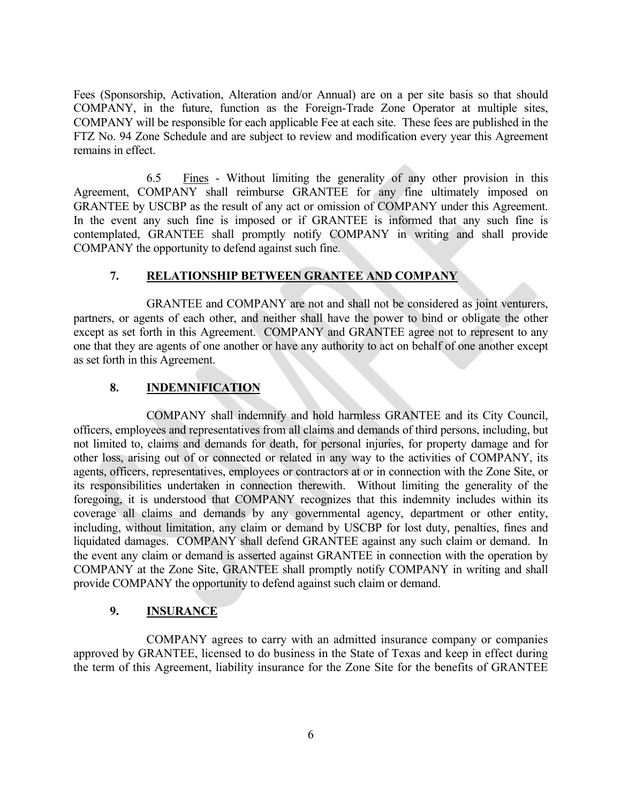Fees (Sponsorship, Activation, Alteration and/or Annual) are on a per site basis so that should COMPANY, in the future, function as the Foreign-Trade Zone Operator at multiple sites, COMPANY will be responsible for each applicable Fee at each site. These fees are published in the FTZ No. 94 Zone Schedule and are subject to review and modification every year this Agreement remains in effect.

 6.5 Fines - Without limiting the generality of any other provision in this Agreement, COMPANY shall reimburse GRANTEE for any fine ultimately imposed on GRANTEE by USCBP as the result of any act or omission of COMPANY under this Agreement. In the event any such fine is imposed or if GRANTEE is informed that any such fine is contemplated, GRANTEE shall promptly notify COMPANY in writing and shall provide COMPANY the opportunity to defend against such fine.

### **7. RELATIONSHIP BETWEEN GRANTEE AND COMPANY**

GRANTEE and COMPANY are not and shall not be considered as joint venturers, partners, or agents of each other, and neither shall have the power to bind or obligate the other except as set forth in this Agreement. COMPANY and GRANTEE agree not to represent to any one that they are agents of one another or have any authority to act on behalf of one another except as set forth in this Agreement.

## **8. INDEMNIFICATION**

COMPANY shall indemnify and hold harmless GRANTEE and its City Council, officers, employees and representatives from all claims and demands of third persons, including, but not limited to, claims and demands for death, for personal injuries, for property damage and for other loss, arising out of or connected or related in any way to the activities of COMPANY, its agents, officers, representatives, employees or contractors at or in connection with the Zone Site, or its responsibilities undertaken in connection therewith. Without limiting the generality of the foregoing, it is understood that COMPANY recognizes that this indemnity includes within its coverage all claims and demands by any governmental agency, department or other entity, including, without limitation, any claim or demand by USCBP for lost duty, penalties, fines and liquidated damages. COMPANY shall defend GRANTEE against any such claim or demand. In the event any claim or demand is asserted against GRANTEE in connection with the operation by COMPANY at the Zone Site, GRANTEE shall promptly notify COMPANY in writing and shall provide COMPANY the opportunity to defend against such claim or demand.

## **9. INSURANCE**

COMPANY agrees to carry with an admitted insurance company or companies approved by GRANTEE, licensed to do business in the State of Texas and keep in effect during the term of this Agreement, liability insurance for the Zone Site for the benefits of GRANTEE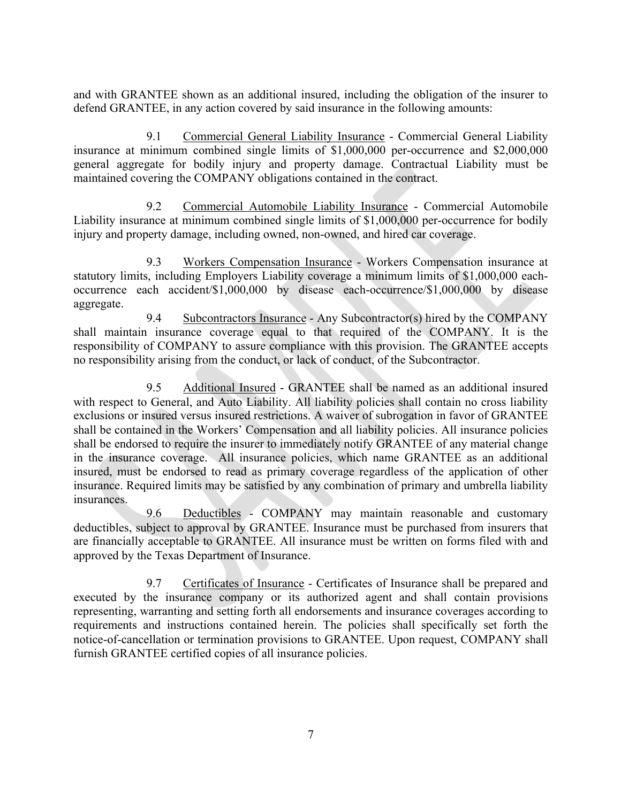and with GRANTEE shown as an additional insured, including the obligation of the insurer to defend GRANTEE, in any action covered by said insurance in the following amounts:

9.1 Commercial General Liability Insurance - Commercial General Liability insurance at minimum combined single limits of \$1,000,000 per-occurrence and \$2,000,000 general aggregate for bodily injury and property damage. Contractual Liability must be maintained covering the COMPANY obligations contained in the contract.

9.2 Commercial Automobile Liability Insurance - Commercial Automobile Liability insurance at minimum combined single limits of \$1,000,000 per-occurrence for bodily injury and property damage, including owned, non-owned, and hired car coverage.

9.3 Workers Compensation Insurance - Workers Compensation insurance at statutory limits, including Employers Liability coverage a minimum limits of \$1,000,000 eachoccurrence each accident/\$1,000,000 by disease each-occurrence/\$1,000,000 by disease aggregate.

9.4 Subcontractors Insurance - Any Subcontractor(s) hired by the COMPANY shall maintain insurance coverage equal to that required of the COMPANY. It is the responsibility of COMPANY to assure compliance with this provision. The GRANTEE accepts no responsibility arising from the conduct, or lack of conduct, of the Subcontractor.

9.5 Additional Insured - GRANTEE shall be named as an additional insured with respect to General, and Auto Liability. All liability policies shall contain no cross liability exclusions or insured versus insured restrictions. A waiver of subrogation in favor of GRANTEE shall be contained in the Workers' Compensation and all liability policies. All insurance policies shall be endorsed to require the insurer to immediately notify GRANTEE of any material change in the insurance coverage. All insurance policies, which name GRANTEE as an additional insured, must be endorsed to read as primary coverage regardless of the application of other insurance. Required limits may be satisfied by any combination of primary and umbrella liability insurances.

9.6 Deductibles - COMPANY may maintain reasonable and customary deductibles, subject to approval by GRANTEE. Insurance must be purchased from insurers that are financially acceptable to GRANTEE. All insurance must be written on forms filed with and approved by the Texas Department of Insurance.

9.7 Certificates of Insurance - Certificates of Insurance shall be prepared and executed by the insurance company or its authorized agent and shall contain provisions representing, warranting and setting forth all endorsements and insurance coverages according to requirements and instructions contained herein. The policies shall specifically set forth the notice-of-cancellation or termination provisions to GRANTEE. Upon request, COMPANY shall furnish GRANTEE certified copies of all insurance policies.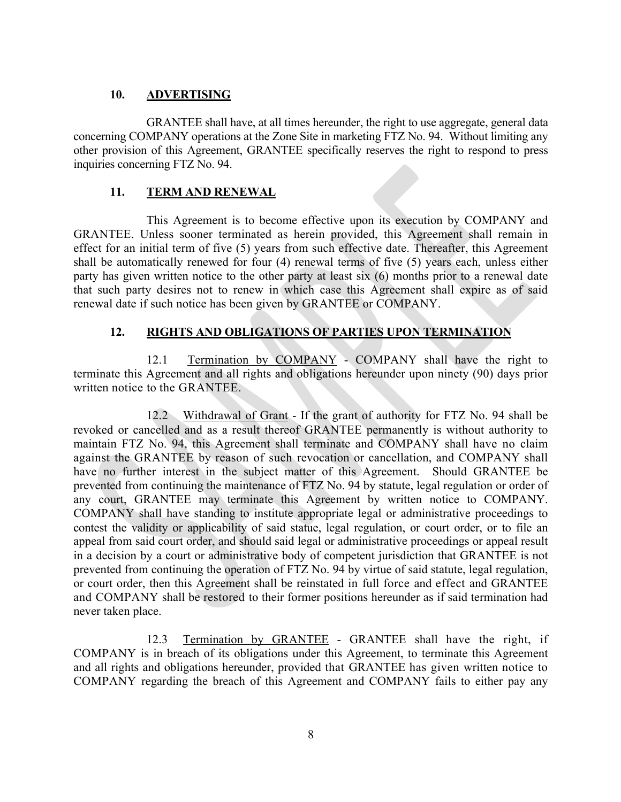## **10. ADVERTISING**

GRANTEE shall have, at all times hereunder, the right to use aggregate, general data concerning COMPANY operations at the Zone Site in marketing FTZ No. 94. Without limiting any other provision of this Agreement, GRANTEE specifically reserves the right to respond to press inquiries concerning FTZ No. 94.

## **11. TERM AND RENEWAL**

This Agreement is to become effective upon its execution by COMPANY and GRANTEE. Unless sooner terminated as herein provided, this Agreement shall remain in effect for an initial term of five (5) years from such effective date. Thereafter, this Agreement shall be automatically renewed for four (4) renewal terms of five (5) years each, unless either party has given written notice to the other party at least six (6) months prior to a renewal date that such party desires not to renew in which case this Agreement shall expire as of said renewal date if such notice has been given by GRANTEE or COMPANY.

## **12. RIGHTS AND OBLIGATIONS OF PARTIES UPON TERMINATION**

12.1 Termination by COMPANY - COMPANY shall have the right to terminate this Agreement and all rights and obligations hereunder upon ninety (90) days prior written notice to the GRANTEE.

12.2 Withdrawal of Grant - If the grant of authority for FTZ No. 94 shall be revoked or cancelled and as a result thereof GRANTEE permanently is without authority to maintain FTZ No. 94, this Agreement shall terminate and COMPANY shall have no claim against the GRANTEE by reason of such revocation or cancellation, and COMPANY shall have no further interest in the subject matter of this Agreement. Should GRANTEE be prevented from continuing the maintenance of FTZ No. 94 by statute, legal regulation or order of any court, GRANTEE may terminate this Agreement by written notice to COMPANY. COMPANY shall have standing to institute appropriate legal or administrative proceedings to contest the validity or applicability of said statue, legal regulation, or court order, or to file an appeal from said court order, and should said legal or administrative proceedings or appeal result in a decision by a court or administrative body of competent jurisdiction that GRANTEE is not prevented from continuing the operation of FTZ No. 94 by virtue of said statute, legal regulation, or court order, then this Agreement shall be reinstated in full force and effect and GRANTEE and COMPANY shall be restored to their former positions hereunder as if said termination had never taken place.

12.3 Termination by GRANTEE - GRANTEE shall have the right, if COMPANY is in breach of its obligations under this Agreement, to terminate this Agreement and all rights and obligations hereunder, provided that GRANTEE has given written notice to COMPANY regarding the breach of this Agreement and COMPANY fails to either pay any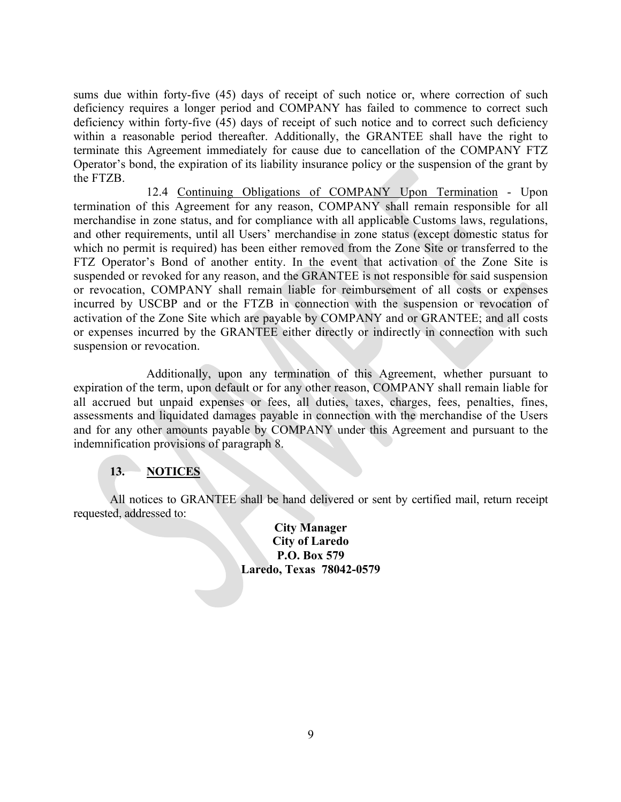sums due within forty-five (45) days of receipt of such notice or, where correction of such deficiency requires a longer period and COMPANY has failed to commence to correct such deficiency within forty-five (45) days of receipt of such notice and to correct such deficiency within a reasonable period thereafter. Additionally, the GRANTEE shall have the right to terminate this Agreement immediately for cause due to cancellation of the COMPANY FTZ Operator's bond, the expiration of its liability insurance policy or the suspension of the grant by the FTZB.

12.4 Continuing Obligations of COMPANY Upon Termination - Upon termination of this Agreement for any reason, COMPANY shall remain responsible for all merchandise in zone status, and for compliance with all applicable Customs laws, regulations, and other requirements, until all Users' merchandise in zone status (except domestic status for which no permit is required) has been either removed from the Zone Site or transferred to the FTZ Operator's Bond of another entity. In the event that activation of the Zone Site is suspended or revoked for any reason, and the GRANTEE is not responsible for said suspension or revocation, COMPANY shall remain liable for reimbursement of all costs or expenses incurred by USCBP and or the FTZB in connection with the suspension or revocation of activation of the Zone Site which are payable by COMPANY and or GRANTEE; and all costs or expenses incurred by the GRANTEE either directly or indirectly in connection with such suspension or revocation.

Additionally, upon any termination of this Agreement, whether pursuant to expiration of the term, upon default or for any other reason, COMPANY shall remain liable for all accrued but unpaid expenses or fees, all duties, taxes, charges, fees, penalties, fines, assessments and liquidated damages payable in connection with the merchandise of the Users and for any other amounts payable by COMPANY under this Agreement and pursuant to the indemnification provisions of paragraph 8.

# **13. NOTICES**

All notices to GRANTEE shall be hand delivered or sent by certified mail, return receipt requested, addressed to:

> **City Manager City of Laredo P.O. Box 579 Laredo, Texas 78042-0579**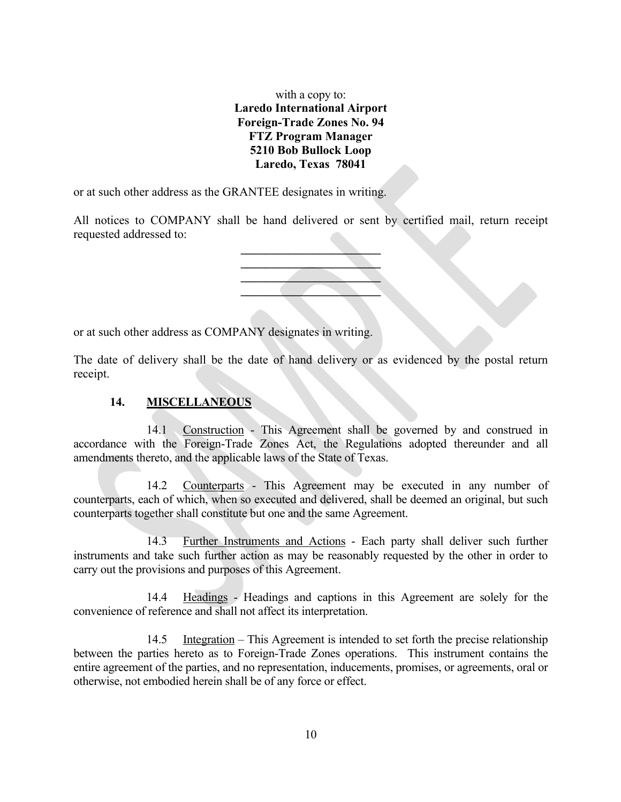with a copy to: **Laredo International Airport Foreign-Trade Zones No. 94 FTZ Program Manager 5210 Bob Bullock Loop Laredo, Texas 78041**

or at such other address as the GRANTEE designates in writing.

All notices to COMPANY shall be hand delivered or sent by certified mail, return receipt requested addressed to:



or at such other address as COMPANY designates in writing.

The date of delivery shall be the date of hand delivery or as evidenced by the postal return receipt.

## **14. MISCELLANEOUS**

14.1 Construction - This Agreement shall be governed by and construed in accordance with the Foreign-Trade Zones Act, the Regulations adopted thereunder and all amendments thereto, and the applicable laws of the State of Texas.

14.2 Counterparts - This Agreement may be executed in any number of counterparts, each of which, when so executed and delivered, shall be deemed an original, but such counterparts together shall constitute but one and the same Agreement.

14.3 Further Instruments and Actions - Each party shall deliver such further instruments and take such further action as may be reasonably requested by the other in order to carry out the provisions and purposes of this Agreement.

14.4 Headings - Headings and captions in this Agreement are solely for the convenience of reference and shall not affect its interpretation.

14.5 Integration – This Agreement is intended to set forth the precise relationship between the parties hereto as to Foreign-Trade Zones operations. This instrument contains the entire agreement of the parties, and no representation, inducements, promises, or agreements, oral or otherwise, not embodied herein shall be of any force or effect.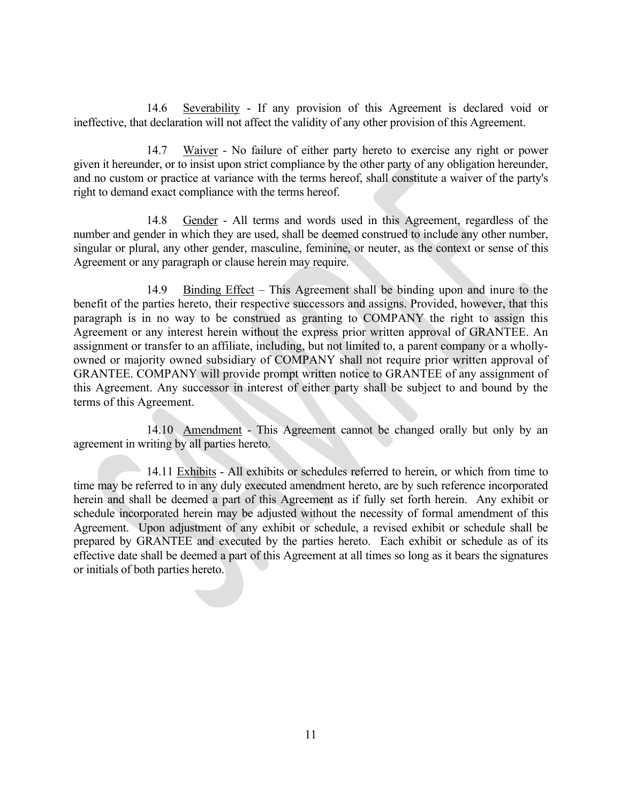14.6 Severability - If any provision of this Agreement is declared void or ineffective, that declaration will not affect the validity of any other provision of this Agreement.

14.7 Waiver - No failure of either party hereto to exercise any right or power given it hereunder, or to insist upon strict compliance by the other party of any obligation hereunder, and no custom or practice at variance with the terms hereof, shall constitute a waiver of the party's right to demand exact compliance with the terms hereof.

14.8 Gender - All terms and words used in this Agreement, regardless of the number and gender in which they are used, shall be deemed construed to include any other number, singular or plural, any other gender, masculine, feminine, or neuter, as the context or sense of this Agreement or any paragraph or clause herein may require.

14.9 Binding Effect – This Agreement shall be binding upon and inure to the benefit of the parties hereto, their respective successors and assigns. Provided, however, that this paragraph is in no way to be construed as granting to COMPANY the right to assign this Agreement or any interest herein without the express prior written approval of GRANTEE. An assignment or transfer to an affiliate, including, but not limited to, a parent company or a whollyowned or majority owned subsidiary of COMPANY shall not require prior written approval of GRANTEE. COMPANY will provide prompt written notice to GRANTEE of any assignment of this Agreement. Any successor in interest of either party shall be subject to and bound by the terms of this Agreement.

14.10 Amendment - This Agreement cannot be changed orally but only by an agreement in writing by all parties hereto.

14.11 Exhibits - All exhibits or schedules referred to herein, or which from time to time may be referred to in any duly executed amendment hereto, are by such reference incorporated herein and shall be deemed a part of this Agreement as if fully set forth herein. Any exhibit or schedule incorporated herein may be adjusted without the necessity of formal amendment of this Agreement. Upon adjustment of any exhibit or schedule, a revised exhibit or schedule shall be prepared by GRANTEE and executed by the parties hereto. Each exhibit or schedule as of its effective date shall be deemed a part of this Agreement at all times so long as it bears the signatures or initials of both parties hereto.